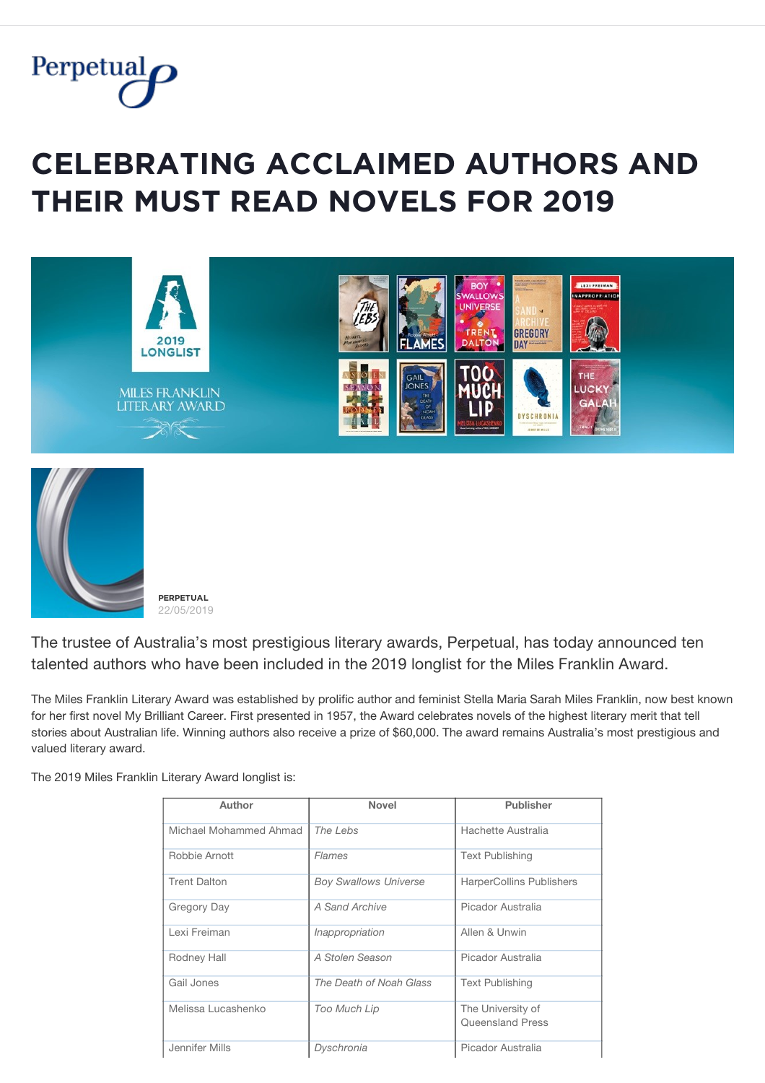

## $CELEBRATING ACCLAIMED AUTHORS AND$ **THEIR MUST READ NOVELS FOR 2019**





**PFRPFTUAL** 22/05/2019

The trustee of Australia's most prestigious literary awards, Perpetual, has today announced ten talented authors who have been included in the 2019 longlist for the Miles Franklin Award.

The Miles Franklin Literary Award was established by prolific author and feminist Stella Maria Sarah Miles Franklin, now best known for her first novel My Brilliant Career. First presented in 1957, the Award celebrates novels of the highest literary merit that tell stories about Australian life. Winning authors also receive a prize of \$60,000. The award remains Australia's most prestigious and valued literary award.

The 2019 Miles Franklin Literary Award longlist is:

| Author                 | <b>Novel</b>                 | <b>Publisher</b>         |
|------------------------|------------------------------|--------------------------|
|                        |                              |                          |
| Michael Mohammed Ahmad | The Lebs                     | Hachette Australia       |
| Robbie Arnott          | Flames                       | <b>Text Publishing</b>   |
| <b>Trent Dalton</b>    | <b>Boy Swallows Universe</b> | HarperCollins Publishers |
| Gregory Day            | A Sand Archive               | Picador Australia        |
| Lexi Freiman           | Inappropriation              | Allen & Unwin            |
| Rodney Hall            | A Stolen Season              | Picador Australia        |
| Gail Jones             | The Death of Noah Glass      | <b>Text Publishing</b>   |
| Melissa Lucashenko     | Too Much Lip                 | The University of        |
|                        |                              | Queensland Press         |
| Jennifer Mills         | Dyschronia                   | Picador Australia        |